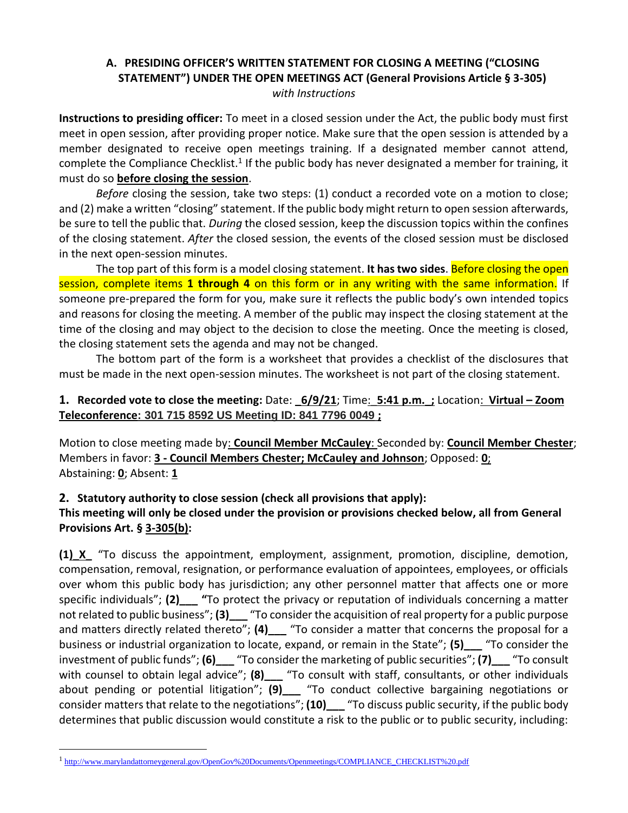## **A. PRESIDING OFFICER'S WRITTEN STATEMENT FOR CLOSING A MEETING ("CLOSING STATEMENT") UNDER THE OPEN MEETINGS ACT (General Provisions Article § 3-305)** *with Instructions*

**Instructions to presiding officer:** To meet in a closed session under the Act, the public body must first meet in open session, after providing proper notice. Make sure that the open session is attended by a member designated to receive open meetings training. If a designated member cannot attend, complete the Compliance Checklist.<sup>1</sup> If the public body has never designated a member for training, it must do so **before closing the session**.

*Before* closing the session, take two steps: (1) conduct a recorded vote on a motion to close; and (2) make a written "closing" statement. If the public body might return to open session afterwards, be sure to tell the public that. *During* the closed session, keep the discussion topics within the confines of the closing statement. *After* the closed session, the events of the closed session must be disclosed in the next open-session minutes.

The top part of this form is a model closing statement. **It has two sides**. Before closing the open session, complete items **1 through 4** on this form or in any writing with the same information. If someone pre-prepared the form for you, make sure it reflects the public body's own intended topics and reasons for closing the meeting. A member of the public may inspect the closing statement at the time of the closing and may object to the decision to close the meeting. Once the meeting is closed, the closing statement sets the agenda and may not be changed.

The bottom part of the form is a worksheet that provides a checklist of the disclosures that must be made in the next open-session minutes. The worksheet is not part of the closing statement.

## **1. Recorded vote to close the meeting:** Date: **\_6/9/21**; Time:\_**5:41 p.m.\_;** Location: **Virtual – Zoom Teleconference: 301 715 8592 US Meeting ID: 841 7796 0049 ;**

Motion to close meeting made by: **Council Member McCauley**: Seconded by: **Council Member Chester**; Members in favor: **3 - Council Members Chester; McCauley and Johnson**; Opposed: **0**; Abstaining: **0**; Absent: **1**

## **2. Statutory authority to close session (check all provisions that apply): This meeting will only be closed under the provision or provisions checked below, all from General Provisions Art. § 3-305(b):**

**(1)\_X\_** "To discuss the appointment, employment, assignment, promotion, discipline, demotion, compensation, removal, resignation, or performance evaluation of appointees, employees, or officials over whom this public body has jurisdiction; any other personnel matter that affects one or more specific individuals"; **(2)\_\_\_ "**To protect the privacy or reputation of individuals concerning a matter not related to public business"; (3) <sup>"</sup>To consider the acquisition of real property for a public purpose and matters directly related thereto"; **(4)\_\_\_** "To consider a matter that concerns the proposal for a business or industrial organization to locate, expand, or remain in the State"; **(5)\_\_\_** "To consider the investment of public funds"; **(6)\_\_\_** "To consider the marketing of public securities"; **(7)\_\_\_** "To consult with counsel to obtain legal advice"; **(8)** <sup>1</sup> To consult with staff, consultants, or other individuals about pending or potential litigation"; **(9)\_\_\_** "To conduct collective bargaining negotiations or consider matters that relate to the negotiations"; **(10)\_\_\_** "To discuss public security, if the public body determines that public discussion would constitute a risk to the public or to public security, including:

<sup>&</sup>lt;sup>1</sup>[http://www.marylandattorneygeneral.gov/OpenGov%20Documents/Openmeetings/COMPLIANCE\\_CHECKLIST%20.pdf](http://www.marylandattorneygeneral.gov/OpenGov%20Documents/Openmeetings/COMPLIANCE_CHECKLIST%20.pdf)